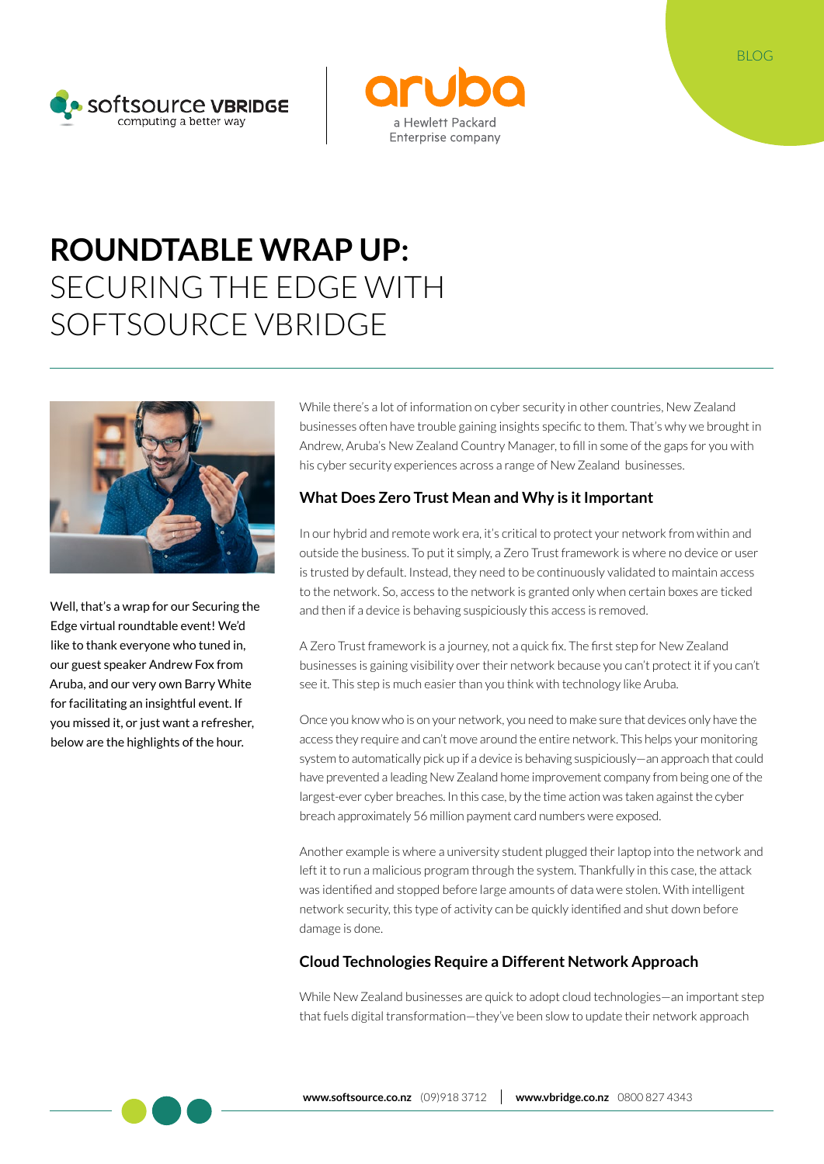



# **ROUNDTABLE WRAP UP:**  SECURING THE EDGE WITH SOFTSOURCE VBRIDGE



Well, that's a wrap for our Securing the Edge virtual roundtable event! We'd like to thank everyone who tuned in, our guest speaker Andrew Fox from Aruba, and our very own Barry White for facilitating an insightful event. If you missed it, or just want a refresher, below are the highlights of the hour.

While there's a lot of information on cyber security in other countries, New Zealand businesses often have trouble gaining insights specific to them. That's why we brought in Andrew, Aruba's New Zealand Country Manager, to fill in some of the gaps for you with his cyber security experiences across a range of New Zealand businesses.

### **What Does Zero Trust Mean and Why is it Important**

In our hybrid and remote work era, it's critical to protect your network from within and outside the business. To put it simply, a Zero Trust framework is where no device or user is trusted by default. Instead, they need to be continuously validated to maintain access to the network. So, access to the network is granted only when certain boxes are ticked and then if a device is behaving suspiciously this access is removed.

A Zero Trust framework is a journey, not a quick fix. The first step for New Zealand businesses is gaining visibility over their network because you can't protect it if you can't see it. This step is much easier than you think with technology like Aruba.

Once you know who is on your network, you need to make sure that devices only have the access they require and can't move around the entire network. This helps your monitoring system to automatically pick up if a device is behaving suspiciously—an approach that could have prevented a leading New Zealand home improvement company from being one of the largest-ever cyber breaches. In this case, by the time action was taken against the cyber breach approximately 56 million payment card numbers were exposed.

Another example is where a university student plugged their laptop into the network and left it to run a malicious program through the system. Thankfully in this case, the attack was identified and stopped before large amounts of data were stolen. With intelligent network security, this type of activity can be quickly identified and shut down before damage is done.

### **Cloud Technologies Require a Different Network Approach**

While New Zealand businesses are quick to adopt cloud technologies—an important step that fuels digital transformation—they've been slow to update their network approach